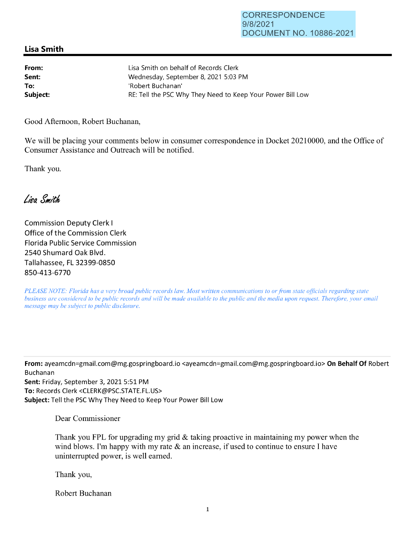## **Lisa Smith**

| From:    | Lisa Smith on behalf of Records Clerk                      |
|----------|------------------------------------------------------------|
| Sent:    | Wednesday, September 8, 2021 5:03 PM                       |
| To:      | 'Robert Buchanan'                                          |
| Subject: | RE: Tell the PSC Why They Need to Keep Your Power Bill Low |

Good Afternoon, Robert Buchanan,

We will be placing your comments below in consumer correspondence in Docket 20210000, and the Office of Consumer Assistance and Outreach will be notified.

Thank you.

Lisa Smith

Commission Deputy Clerk I Office of the Commission Clerk Florida Public Service Commission 2540 Shumard Oak Blvd. Tallahassee, FL 32399-0850 850-413-6770

*PLEASE NOTE: Florida has a very broad public records law. Most written communications to or from state officials regarding state business are considered to be public records and will be made available to the public and the media upon request. Therefore, your email message may be subject to public disclosure.* 

**From:** ayeamcdn=gmail.com@mg.gospringboard.io <ayeamcdn=gmail.com@mg.gospringboard.io> **On Behalf Of** Robert Buchanan **Sent:** Friday, September 3, 2021 5:51 PM **To:** Records Clerk <CLERK@PSC.STATE.FL.US> **Subject:** Tell the PSC Why They Need to Keep Your Power Bill Low

Dear Commissioner

Thank you FPL for upgrading my grid & taking proactive in maintaining my power when the wind blows. I'm happy with my rate  $\&$  an increase, if used to continue to ensure I have uninterrupted power, is well earned.

Thank you,

Robert Buchanan